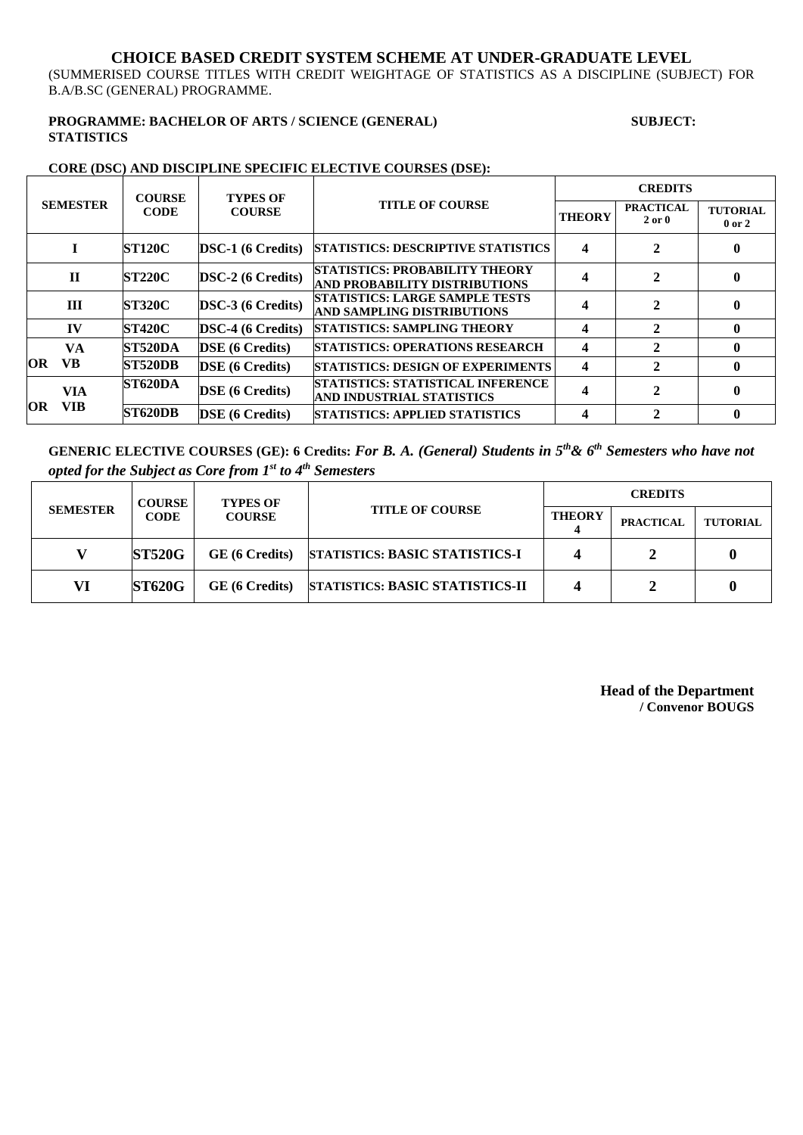#### **CHOICE BASED CREDIT SYSTEM SCHEME AT UNDER-GRADUATE LEVEL**

(SUMMERISED COURSE TITLES WITH CREDIT WEIGHTAGE OF STATISTICS AS A DISCIPLINE (SUBJECT) FOR B.A/B.SC (GENERAL) PROGRAMME.

#### **PROGRAMME: BACHELOR OF ARTS / SCIENCE (GENERAL) SUBJECT: STATISTICS**

#### **CORE (DSC) AND DISCIPLINE SPECIFIC ELECTIVE COURSES (DSE):**

| <b>SEMESTER</b>                 | <b>COURSE</b><br><b>CODE</b> | <b>TYPES OF</b><br><b>COURSE</b> | <b>TITLE OF COURSE</b>                                                 | <b>CREDITS</b> |                                |                               |
|---------------------------------|------------------------------|----------------------------------|------------------------------------------------------------------------|----------------|--------------------------------|-------------------------------|
|                                 |                              |                                  |                                                                        | <b>THEORY</b>  | <b>PRACTICAL</b><br>$2$ or $0$ | <b>TUTORIAL</b><br>$0$ or $2$ |
|                                 | <b>ST120C</b>                | $DSC-1$ (6 Credits)              | <b>STATISTICS: DESCRIPTIVE STATISTICS</b>                              | 4              |                                | 0                             |
| $\mathbf{H}$                    | <b>ST220C</b>                | <b>DSC-2</b> (6 Credits)         | <b>STATISTICS: PROBABILITY THEORY</b><br>AND PROBABILITY DISTRIBUTIONS |                | $\mathbf{2}$                   |                               |
| III                             | <b>ST320C</b>                | <b>DSC-3 (6 Credits)</b>         | <b>STATISTICS: LARGE SAMPLE TESTS</b><br>AND SAMPLING DISTRIBUTIONS    | 4              |                                | 0                             |
| IV                              | <b>ST420C</b>                | $DSC-4 (6 Credits)$              | <b>STATISTICS: SAMPLING THEORY</b>                                     | 4              | 2                              | 0                             |
| VA<br>VB<br><b>OR</b>           | <b>ST520DA</b>               | <b>DSE</b> (6 Credits)           | <b>STATISTICS: OPERATIONS RESEARCH</b>                                 | 4              | 2                              | 0                             |
|                                 | <b>ST520DB</b>               | <b>DSE</b> (6 Credits)           | <b>STATISTICS: DESIGN OF EXPERIMENTS</b>                               | 4              | 2                              | 0                             |
| <b>VIA</b><br><b>VIB</b><br>OR. | <b>ST620DA</b>               | <b>DSE</b> (6 Credits)           | <b>STATISTICS: STATISTICAL INFERENCE</b><br>AND INDUSTRIAL STATISTICS  | 4              | $\mathbf{2}$                   | 0                             |
|                                 | <b>ST620DB</b>               | <b>DSE</b> (6 Credits)           | <b>STATISTICS: APPLIED STATISTICS</b>                                  | 4              |                                |                               |

**GENERIC ELECTIVE COURSES (GE): 6 Credits:** *For B. A. (General) Students in 5th& 6th Semesters who have not opted for the Subject as Core from 1st to 4th Semesters*

| <b>SEMESTER</b> | <b>COURSE</b><br><b>CODE</b> | <b>TYPES OF</b><br><b>COURSE</b> | <b>TITLE OF COURSE</b>                | <b>CREDITS</b> |                  |                 |
|-----------------|------------------------------|----------------------------------|---------------------------------------|----------------|------------------|-----------------|
|                 |                              |                                  |                                       | <b>THEORY</b>  | <b>PRACTICAL</b> | <b>TUTORIAL</b> |
|                 | <b>ST520G</b>                | GE (6 Credits)                   | <b>STATISTICS: BASIC STATISTICS-I</b> |                |                  |                 |
| VI              | <b>ST620G</b>                | GE (6 Credits)                   | STATISTICS: BASIC STATISTICS-II       |                |                  |                 |

**Head of the Department / Convenor BOUGS**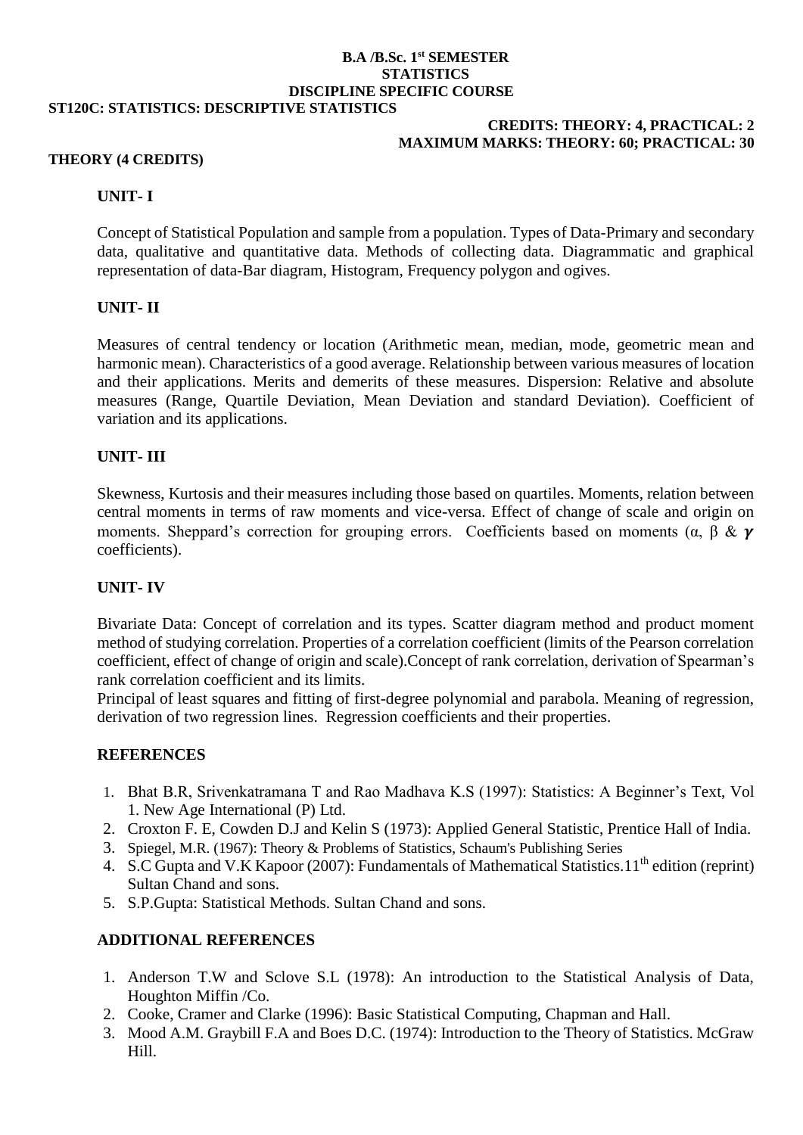#### **B.A /B.Sc. 1st SEMESTER STATISTICS DISCIPLINE SPECIFIC COURSE ST120C: STATISTICS: DESCRIPTIVE STATISTICS**

#### **CREDITS: THEORY: 4, PRACTICAL: 2 MAXIMUM MARKS: THEORY: 60; PRACTICAL: 30**

## **THEORY (4 CREDITS)**

# **UNIT- I**

Concept of Statistical Population and sample from a population. Types of Data-Primary and secondary data, qualitative and quantitative data. Methods of collecting data. Diagrammatic and graphical representation of data-Bar diagram, Histogram, Frequency polygon and ogives.

## **UNIT- II**

Measures of central tendency or location (Arithmetic mean, median, mode, geometric mean and harmonic mean). Characteristics of a good average. Relationship between various measures of location and their applications. Merits and demerits of these measures. Dispersion: Relative and absolute measures (Range, Quartile Deviation, Mean Deviation and standard Deviation). Coefficient of variation and its applications.

## **UNIT- III**

Skewness, Kurtosis and their measures including those based on quartiles. Moments, relation between central moments in terms of raw moments and vice-versa. Effect of change of scale and origin on moments. Sheppard's correction for grouping errors. Coefficients based on moments ( $\alpha$ ,  $\beta$  &  $\gamma$ ) coefficients).

# **UNIT- IV**

Bivariate Data: Concept of correlation and its types. Scatter diagram method and product moment method of studying correlation. Properties of a correlation coefficient (limits of the Pearson correlation coefficient, effect of change of origin and scale).Concept of rank correlation, derivation of Spearman's rank correlation coefficient and its limits.

Principal of least squares and fitting of first-degree polynomial and parabola. Meaning of regression, derivation of two regression lines. Regression coefficients and their properties.

# **REFERENCES**

- 1. Bhat B.R, Srivenkatramana T and Rao Madhava K.S (1997): Statistics: A Beginner's Text, Vol 1. New Age International (P) Ltd.
- 2. Croxton F. E, Cowden D.J and Kelin S (1973): Applied General Statistic, Prentice Hall of India.
- 3. Spiegel, M.R. (1967): Theory & Problems of Statistics, Schaum's Publishing Series
- 4. S.C Gupta and V.K Kapoor (2007): Fundamentals of Mathematical Statistics. 11<sup>th</sup> edition (reprint) Sultan Chand and sons.
- 5. S.P.Gupta: Statistical Methods. Sultan Chand and sons.

# **ADDITIONAL REFERENCES**

- 1. Anderson T.W and Sclove S.L (1978): An introduction to the Statistical Analysis of Data, Houghton Miffin /Co.
- 2. Cooke, Cramer and Clarke (1996): Basic Statistical Computing, Chapman and Hall.
- 3. Mood A.M. Graybill F.A and Boes D.C. (1974): Introduction to the Theory of Statistics. McGraw Hill.